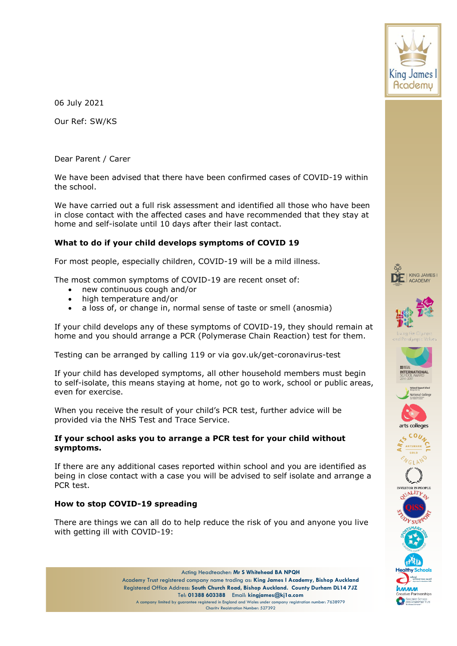

06 July 2021

Our Ref: SW/KS

Dear Parent / Carer

We have been advised that there have been confirmed cases of COVID-19 within the school.

We have carried out a full risk assessment and identified all those who have been in close contact with the affected cases and have recommended that they stay at home and self-isolate until 10 days after their last contact.

# **What to do if your child develops symptoms of COVID 19**

For most people, especially children, COVID-19 will be a mild illness.

The most common symptoms of COVID-19 are recent onset of:

- new continuous cough and/or
- high temperature and/or
- a loss of, or change in, normal sense of taste or smell (anosmia)

If your child develops any of these symptoms of COVID-19, they should remain at home and you should arrange a PCR (Polymerase Chain Reaction) test for them.

Testing can be arranged by calling 119 or via gov.uk/get-coronavirus-test

If your child has developed symptoms, all other household members must begin to self-isolate, this means staying at home, not go to work, school or public areas, even for exercise.

When you receive the result of your child's PCR test, further advice will be provided via the NHS Test and Trace Service.

# **If your school asks you to arrange a PCR test for your child without symptoms.**

If there are any additional cases reported within school and you are identified as being in close contact with a case you will be advised to self isolate and arrange a PCR test.

# **How to stop COVID-19 spreading**

There are things we can all do to help reduce the risk of you and anyone you live with getting ill with COVID-19:



Acting Headteacher: **Mr S Whitehead BA NPQH** Academy Trust registered company name trading as: **King James I Academy, Bishop Auckland** Registered Office Address: **South Church Road, Bishop Auckland. County Durham DL14 7JZ** Tel: **01388 603388** Email: **kingjames@kj1a.com** A company limited by guarantee registered in England and Wales under company registration number: 7638979 Charity Registration Number: 527392















**ARTSMARK VGLAND** 

**INVESTOR IN PEOPLE**